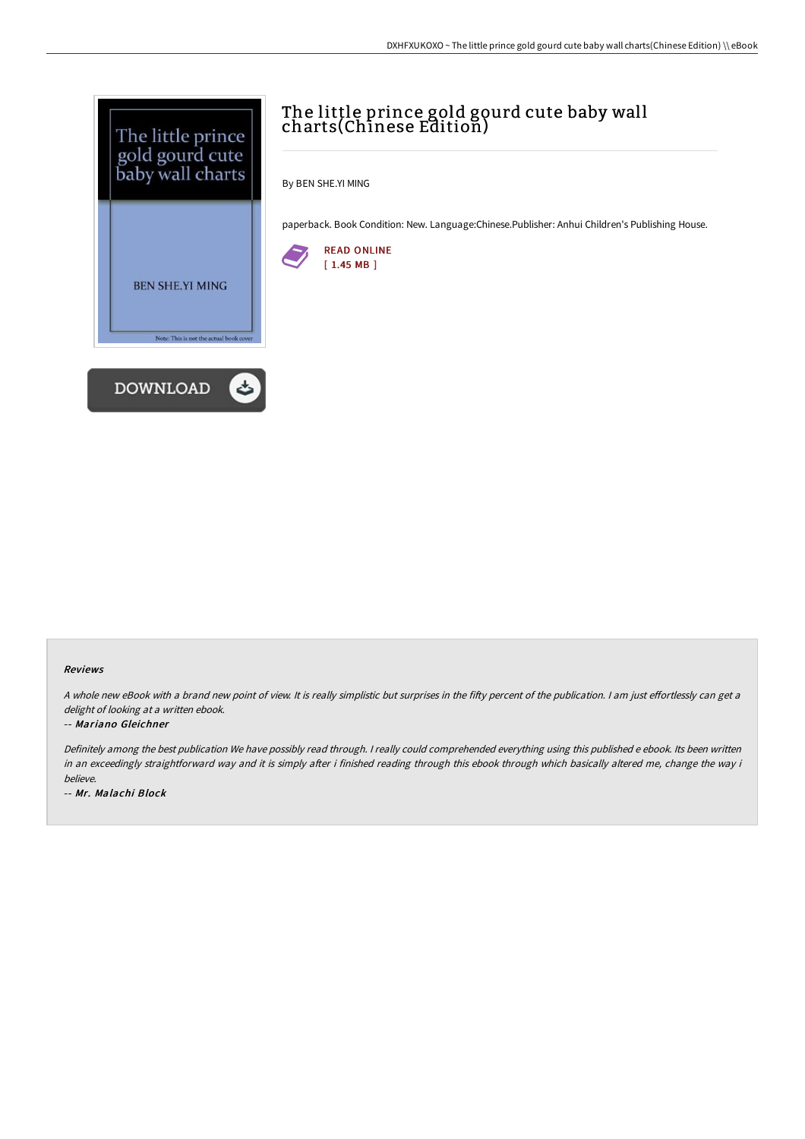

# The little prince gold gourd cute baby wall charts(Chinese Edition)

By BEN SHE.YI MING

paperback. Book Condition: New. Language:Chinese.Publisher: Anhui Children's Publishing House.



#### Reviews

A whole new eBook with a brand new point of view. It is really simplistic but surprises in the fifty percent of the publication. I am just effortlessly can get a delight of looking at a written ebook.

#### -- Mariano Gleichner

Definitely among the best publication We have possibly read through. <sup>I</sup> really could comprehended everything using this published <sup>e</sup> ebook. Its been written in an exceedingly straightforward way and it is simply after i finished reading through this ebook through which basically altered me, change the way i believe.

-- Mr. Malachi Block